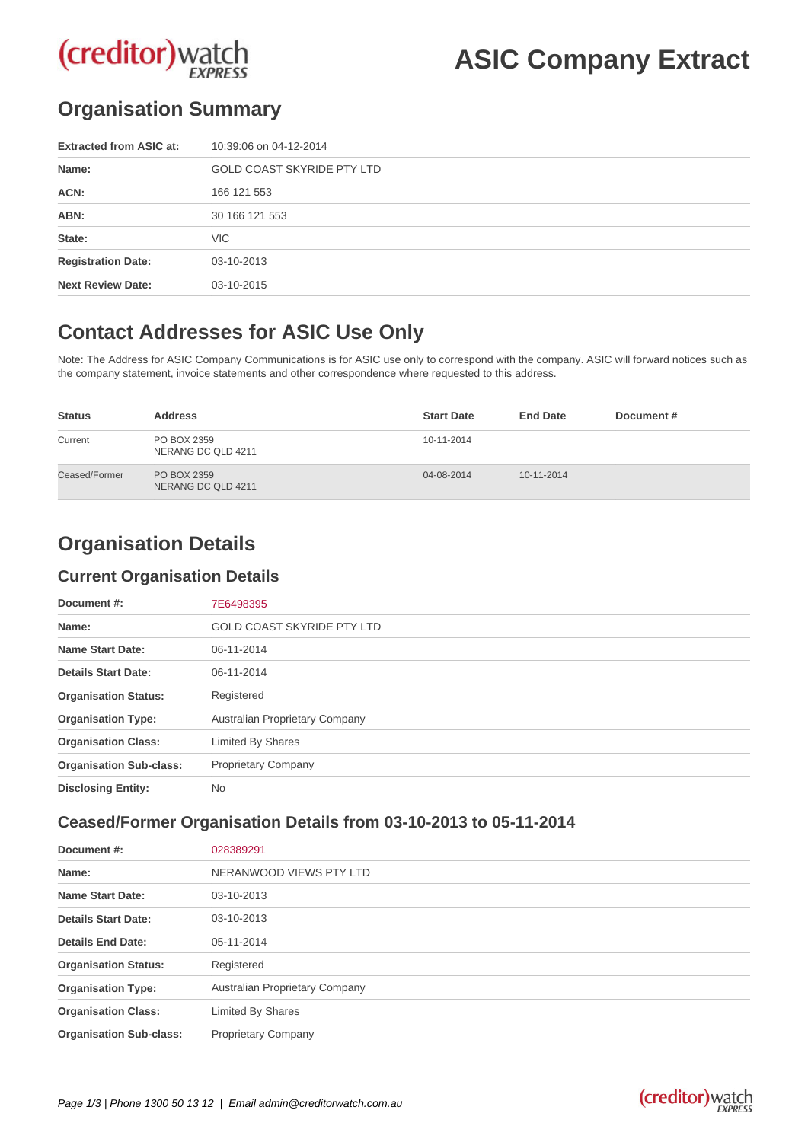# (creditor) watch

## **ASIC Company Extract**

## **Organisation Summary**

| <b>Extracted from ASIC at:</b> | 10:39:06 on 04-12-2014            |
|--------------------------------|-----------------------------------|
| Name:                          | <b>GOLD COAST SKYRIDE PTY LTD</b> |
| ACN:                           | 166 121 553                       |
| ABN:                           | 30 166 121 553                    |
| State:                         | VIC.                              |
| <b>Registration Date:</b>      | 03-10-2013                        |
| <b>Next Review Date:</b>       | 03-10-2015                        |

### **Contact Addresses for ASIC Use Only**

Note: The Address for ASIC Company Communications is for ASIC use only to correspond with the company. ASIC will forward notices such as the company statement, invoice statements and other correspondence where requested to this address.

| <b>Status</b> | <b>Address</b>                    | <b>Start Date</b> | <b>End Date</b>  | Document# |
|---------------|-----------------------------------|-------------------|------------------|-----------|
| Current       | PO BOX 2359<br>NERANG DC QLD 4211 | 10-11-2014        |                  |           |
| Ceased/Former | PO BOX 2359<br>NERANG DC QLD 4211 | 04-08-2014        | $10 - 11 - 2014$ |           |

## **Organisation Details**

#### **Current Organisation Details**

| Document #:                    | 7E6498395                         |
|--------------------------------|-----------------------------------|
| Name:                          | <b>GOLD COAST SKYRIDE PTY LTD</b> |
| <b>Name Start Date:</b>        | 06-11-2014                        |
| <b>Details Start Date:</b>     | 06-11-2014                        |
| <b>Organisation Status:</b>    | Registered                        |
| <b>Organisation Type:</b>      | Australian Proprietary Company    |
| <b>Organisation Class:</b>     | <b>Limited By Shares</b>          |
| <b>Organisation Sub-class:</b> | <b>Proprietary Company</b>        |
| <b>Disclosing Entity:</b>      | No.                               |

#### **Ceased/Former Organisation Details from 03-10-2013 to 05-11-2014**

| Document #:                    | 028389291                      |
|--------------------------------|--------------------------------|
| Name:                          | NERANWOOD VIEWS PTY LTD        |
| <b>Name Start Date:</b>        | 03-10-2013                     |
| <b>Details Start Date:</b>     | 03-10-2013                     |
| <b>Details End Date:</b>       | 05-11-2014                     |
| <b>Organisation Status:</b>    | Registered                     |
| <b>Organisation Type:</b>      | Australian Proprietary Company |
| <b>Organisation Class:</b>     | Limited By Shares              |
| <b>Organisation Sub-class:</b> | <b>Proprietary Company</b>     |

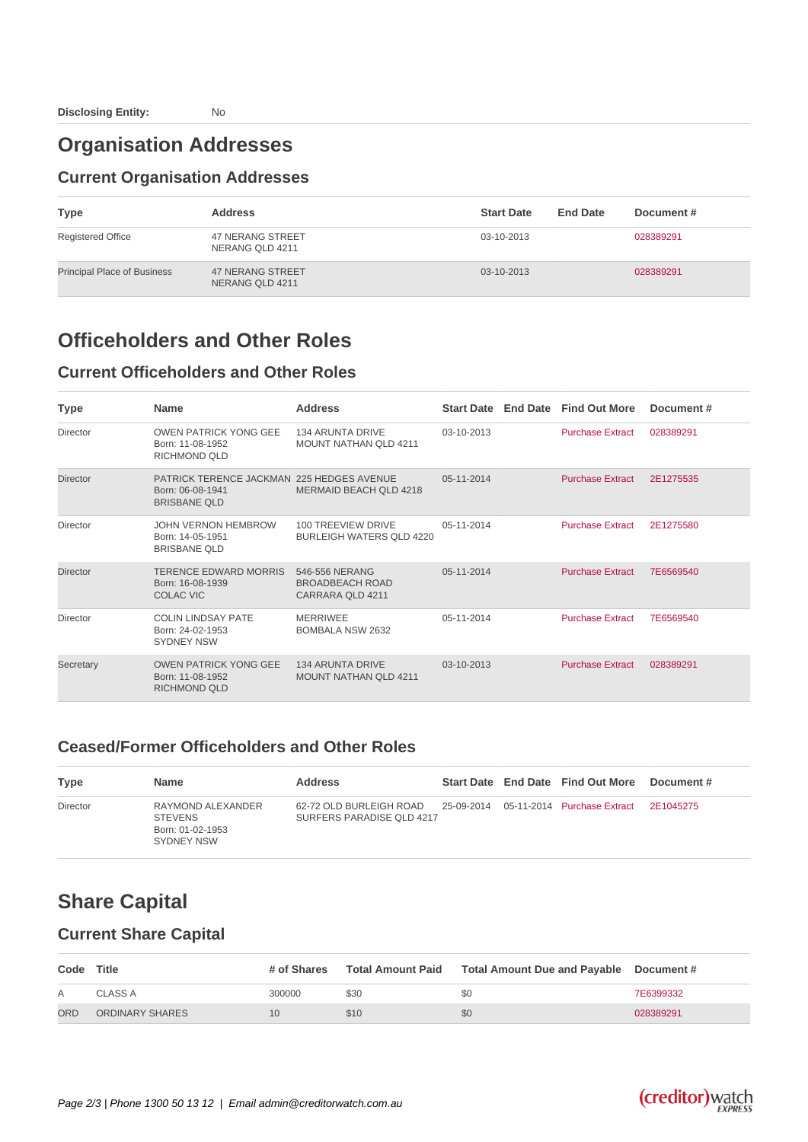### **Organisation Addresses**

#### **Current Organisation Addresses**

| <b>Type</b>                        | <b>Address</b>                             | <b>Start Date</b> | <b>End Date</b> | Document# |
|------------------------------------|--------------------------------------------|-------------------|-----------------|-----------|
| <b>Registered Office</b>           | 47 NERANG STREET<br>NERANG QLD 4211        | 03-10-2013        |                 | 028389291 |
| <b>Principal Place of Business</b> | <b>47 NERANG STREET</b><br>NERANG QLD 4211 | 03-10-2013        |                 | 028389291 |

#### **Officeholders and Other Roles**

#### **Current Officeholders and Other Roles**

| <b>Type</b>     | <b>Name</b>                                                                                 | <b>Address</b>                                               |              | Start Date End Date Find Out More | Document# |
|-----------------|---------------------------------------------------------------------------------------------|--------------------------------------------------------------|--------------|-----------------------------------|-----------|
| Director        | <b>OWEN PATRICK YONG GEE</b><br>Born: 11-08-1952<br>RICHMOND QLD                            | <b>134 ARUNTA DRIVE</b><br><b>MOUNT NATHAN OLD 4211</b>      | 03-10-2013   | <b>Purchase Extract</b>           | 028389291 |
| <b>Director</b> | <b>PATRICK TERENCE JACKMAN 225 HEDGES AVENUE</b><br>Born: 06-08-1941<br><b>BRISBANE OLD</b> | <b>MERMAID BEACH QLD 4218</b>                                | 05-11-2014   | <b>Purchase Extract</b>           | 2E1275535 |
| Director        | <b>JOHN VERNON HEMBROW</b><br>Born: 14-05-1951<br><b>BRISBANE QLD</b>                       | 100 TREEVIEW DRIVE<br><b>BURLEIGH WATERS QLD 4220</b>        | 05-11-2014   | <b>Purchase Extract</b>           | 2E1275580 |
| <b>Director</b> | TERENCE EDWARD MORRIS<br>Born: 16-08-1939<br>COLAC VIC                                      | 546-556 NERANG<br><b>BROADBEACH ROAD</b><br>CARRARA QLD 4211 | 05-11-2014   | <b>Purchase Extract</b>           | 7E6569540 |
| Director        | <b>COLIN LINDSAY PATE</b><br>Born: 24-02-1953<br><b>SYDNEY NSW</b>                          | <b>MERRIWEE</b><br><b>BOMBALA NSW 2632</b>                   | 05-11-2014   | <b>Purchase Extract</b>           | 7E6569540 |
| Secretary       | <b>OWEN PATRICK YONG GEE</b><br>Born: 11-08-1952<br>RICHMOND OLD                            | <b>134 ARUNTA DRIVE</b><br><b>MOUNT NATHAN QLD 4211</b>      | $03-10-2013$ | <b>Purchase Extract</b>           | 028389291 |

#### **Ceased/Former Officeholders and Other Roles**

| <b>Type</b> | <b>Name</b>                                                           | <b>Address</b>                                       |  | Start Date End Date Find Out More            | Document # |
|-------------|-----------------------------------------------------------------------|------------------------------------------------------|--|----------------------------------------------|------------|
| Director    | RAYMOND ALEXANDER<br><b>STEVENS</b><br>Born: 01-02-1953<br>SYDNEY NSW | 62-72 OLD BURLEIGH ROAD<br>SURFERS PARADISE QLD 4217 |  | 25-09-2014    05-11-2014    Purchase Extract | 2F1045275  |

## **Share Capital**

#### **Current Share Capital**

| Code       | Title           |        |      | # of Shares Total Amount Paid Total Amount Due and Payable Document # |           |
|------------|-----------------|--------|------|-----------------------------------------------------------------------|-----------|
|            | CLASS A         | 300000 | \$30 | \$0                                                                   | 7E6399332 |
| <b>ORD</b> | ORDINARY SHARES | 10     | \$10 | \$0                                                                   | 028389291 |